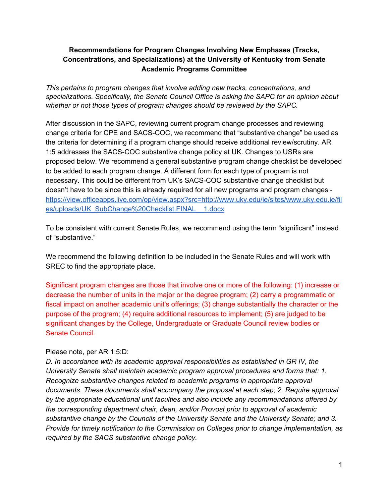### **Recommendations for Program Changes Involving New Emphases (Tracks, Concentrations, and Specializations) at the University of Kentucky from Senate Academic Programs Committee**

*This pertains to program changes that involve adding new tracks, concentrations, and specializations. Specifically, the Senate Council Office is asking the SAPC for an opinion about whether or not those types of program changes should be reviewed by the SAPC.*

After discussion in the SAPC, reviewing current program change processes and reviewing change criteria for CPE and SACS-COC, we recommend that "substantive change" be used as the criteria for determining if a program change should receive additional review/scrutiny. AR 1:5 addresses the SACS-COC substantive change policy at UK. Changes to USRs are proposed below. We recommend a general substantive program change checklist be developed to be added to each program change. A different form for each type of program is not necessary. This could be different from UK's SACS-COC substantive change checklist but doesn't have to be since this is already required for all new programs and program changes [https://view.officeapps.live.com/op/view.aspx?src=http://www.uky.edu/ie/sites/www.uky.edu.ie/fil](https://view.officeapps.live.com/op/view.aspx?src=http://www.uky.edu/ie/sites/www.uky.edu.ie/files/uploads/UK_SubChange%20Checklist.FINAL__1.docx) [es/uploads/UK\\_SubChange%20Checklist.FINAL\\_\\_1.docx](https://view.officeapps.live.com/op/view.aspx?src=http://www.uky.edu/ie/sites/www.uky.edu.ie/files/uploads/UK_SubChange%20Checklist.FINAL__1.docx)

To be consistent with current Senate Rules, we recommend using the term "significant" instead of "substantive."

We recommend the following definition to be included in the Senate Rules and will work with SREC to find the appropriate place.

Significant program changes are those that involve one or more of the following: (1) increase or decrease the number of units in the major or the degree program; (2) carry a programmatic or fiscal impact on another academic unit's offerings; (3) change substantially the character or the purpose of the program; (4) require additional resources to implement; (5) are judged to be significant changes by the College, Undergraduate or Graduate Council review bodies or Senate Council.

#### Please note, per AR 1:5:D:

*D. In accordance with its academic approval responsibilities as established in GR IV, the University Senate shall maintain academic program approval procedures and forms that: 1. Recognize substantive changes related to academic programs in appropriate approval documents. These documents shall accompany the proposal at each step; 2. Require approval by the appropriate educational unit faculties and also include any recommendations offered by the corresponding department chair, dean, and/or Provost prior to approval of academic substantive change by the Councils of the University Senate and the University Senate; and 3. Provide for timely notification to the Commission on Colleges prior to change implementation, as required by the SACS substantive change policy.*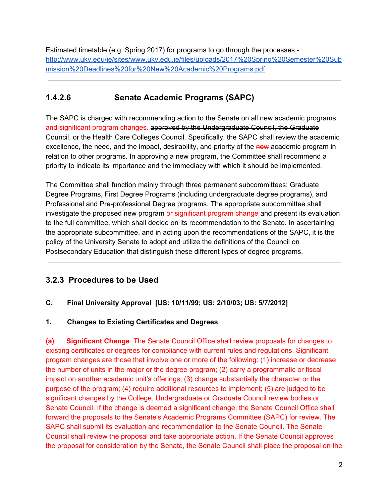Estimated timetable (e.g. Spring 2017) for programs to go through the processes [http://www.uky.edu/ie/sites/www.uky.edu.ie/files/uploads/2017%20Spring%20Semester%20Sub](http://www.uky.edu/ie/sites/www.uky.edu.ie/files/uploads/2017%20Spring%20Semester%20Submission%20Deadlines%20for%20New%20Academic%20Programs.pdf) [mission%20Deadlines%20for%20New%20Academic%20Programs.pdf](http://www.uky.edu/ie/sites/www.uky.edu.ie/files/uploads/2017%20Spring%20Semester%20Submission%20Deadlines%20for%20New%20Academic%20Programs.pdf)

## **1.4.2.6 Senate Academic Programs (SAPC)**

The SAPC is charged with recommending action to the Senate on all new academic programs and significant program changes. approved by the Undergraduate Council, the Graduate Council, or the Health Care Colleges Council. Specifically, the SAPC shall review the academic excellence, the need, and the impact, desirability, and priority of the new academic program in relation to other programs. In approving a new program, the Committee shall recommend a priority to indicate its importance and the immediacy with which it should be implemented.

The Committee shall function mainly through three permanent subcommittees: Graduate Degree Programs, First Degree Programs (including undergraduate degree programs), and Professional and Pre-professional Degree programs. The appropriate subcommittee shall investigate the proposed new program or significant program change and present its evaluation to the full committee, which shall decide on its recommendation to the Senate. In ascertaining the appropriate subcommittee, and in acting upon the recommendations of the SAPC, it is the policy of the University Senate to adopt and utilize the definitions of the Council on Postsecondary Education that distinguish these different types of degree programs.

# **3.2.3 Procedures to be Used**

### **C. Final University Approval [US: 10/11/99; US: 2/10/03; US: 5/7/2012]**

#### **1. Changes to Existing Certificates and Degrees**.

**(a) Significant Change**. The Senate Council Office shall review proposals for changes to existing certificates or degrees for compliance with current rules and regulations. Significant program changes are those that involve one or more of the following: (1) increase or decrease the number of units in the major or the degree program; (2) carry a programmatic or fiscal impact on another academic unit's offerings; (3) change substantially the character or the purpose of the program; (4) require additional resources to implement; (5) are judged to be significant changes by the College, Undergraduate or Graduate Council review bodies or Senate Council. If the change is deemed a significant change, the Senate Council Office shall forward the proposals to the Senate's Academic Programs Committee (SAPC) for review. The SAPC shall submit its evaluation and recommendation to the Senate Council. The Senate Council shall review the proposal and take appropriate action. If the Senate Council approves the proposal for consideration by the Senate, the Senate Council shall place the proposal on the